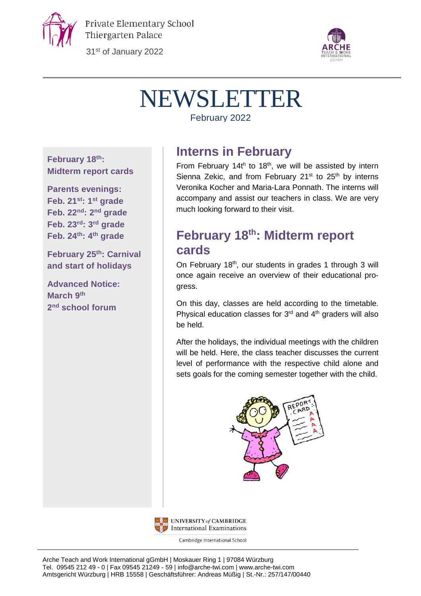

Private Elementary School Thiergarten Palace

31st of January 2022



# NEWSLETTER

February 2022

**February 18th: Midterm report cards**

**Parents evenings: Feb. 21st: 1 st grade Feb. 22nd: 2 nd grade Feb. 23rd: 3 rd grade Feb. 24th: 4 th grade**

**February 25th: Carnival and start of holidays**

**Advanced Notice: March 9 th 2 nd school forum**

#### **Interns in February**

From February 14 $t^h$  to 18<sup>th</sup>, we will be assisted by intern Sienna Zekic, and from February  $21^{st}$  to  $25^{th}$  by interns Veronika Kocher and Maria-Lara Ponnath. The interns will accompany and assist our teachers in class. We are very much looking forward to their visit.

# **February 18th: Midterm report cards**

On February 18<sup>th</sup>, our students in grades 1 through 3 will once again receive an overview of their educational progress.

On this day, classes are held according to the timetable. Physical education classes for  $3<sup>rd</sup>$  and  $4<sup>th</sup>$  graders will also be held.

After the holidays, the individual meetings with the children will be held. Here, the class teacher discusses the current level of performance with the respective child alone and sets goals for the coming semester together with the child.





Cambridge International School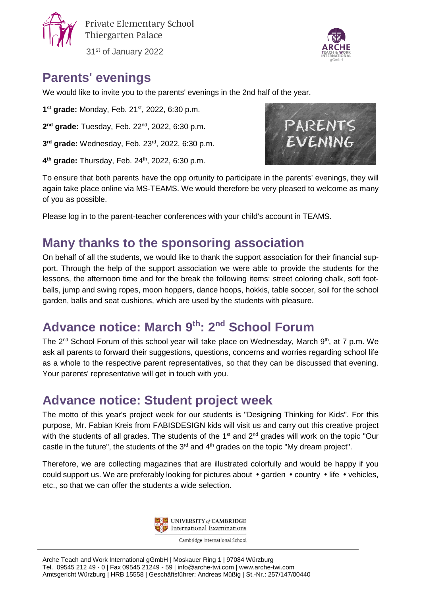

Private Elementary School Thiergarten Palace

31st of January 2022



### **Parents' evenings**

We would like to invite you to the parents' evenings in the 2nd half of the year.

**1<sup>st</sup> grade:** Monday, Feb. 21<sup>st</sup>, 2022, 6:30 p.m.

**2 nd grade:** Tuesday, Feb. 22nd , 2022, 6:30 p.m.

**3 rd grade:** Wednesday, Feb. 23rd , 2022, 6:30 p.m.

**4<sup>th</sup> grade:** Thursday, Feb. 24<sup>th</sup>, 2022, 6:30 p.m.



To ensure that both parents have the opp ortunity to participate in the parents' evenings, they will again take place online via MS-TEAMS. We would therefore be very pleased to welcome as many of you as possible.

Please log in to the parent-teacher conferences with your child's account in TEAMS.

### **Many thanks to the sponsoring association**

On behalf of all the students, we would like to thank the support association for their financial support. Through the help of the support association we were able to provide the students for the lessons, the afternoon time and for the break the following items: street coloring chalk, soft footballs, jump and swing ropes, moon hoppers, dance hoops, hokkis, table soccer, soil for the school garden, balls and seat cushions, which are used by the students with pleasure.

# **Advance notice: March 9 th: 2 nd School Forum**

The 2<sup>nd</sup> School Forum of this school year will take place on Wednesday, March 9<sup>th</sup>, at 7 p.m. We ask all parents to forward their suggestions, questions, concerns and worries regarding school life as a whole to the respective parent representatives, so that they can be discussed that evening. Your parents' representative will get in touch with you.

### **Advance notice: Student project week**

The motto of this year's project week for our students is "Designing Thinking for Kids". For this purpose, Mr. Fabian Kreis from FABISDESIGN kids will visit us and carry out this creative project with the students of all grades. The students of the 1<sup>st</sup> and 2<sup>nd</sup> grades will work on the topic "Our castle in the future", the students of the  $3<sup>rd</sup>$  and  $4<sup>th</sup>$  grades on the topic "My dream project".

Therefore, we are collecting magazines that are illustrated colorfully and would be happy if you could support us. We are preferably looking for pictures about  $\bullet$  garden  $\bullet$  country  $\bullet$  life  $\bullet$  vehicles, etc., so that we can offer the students a wide selection.



Cambridge International School